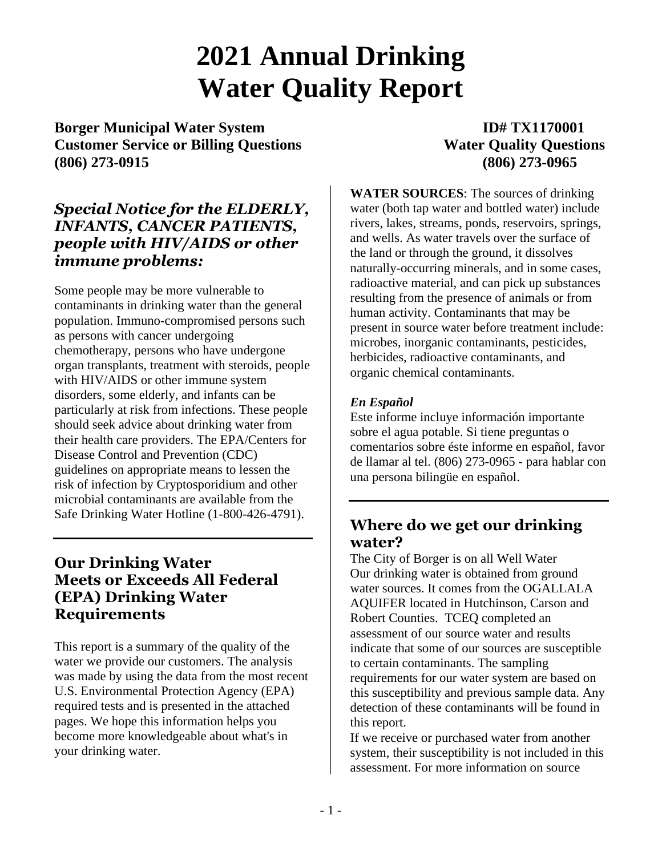# **2021 Annual Drinking Water Quality Report**

**Borger Municipal Water System ID# TX1170001 Customer Service or Billing Questions Water Quality Questions (806) 273-0915 (806) 273-0965**

# *Special Notice for the ELDERLY, INFANTS, CANCER PATIENTS, people with HIV/AIDS or other immune problems:*

Some people may be more vulnerable to contaminants in drinking water than the general population. Immuno-compromised persons such as persons with cancer undergoing chemotherapy, persons who have undergone organ transplants, treatment with steroids, people with HIV/AIDS or other immune system disorders, some elderly, and infants can be particularly at risk from infections. These people should seek advice about drinking water from their health care providers. The EPA/Centers for Disease Control and Prevention (CDC) guidelines on appropriate means to lessen the risk of infection by Cryptosporidium and other microbial contaminants are available from the Safe Drinking Water Hotline (1-800-426-4791).

# **Our Drinking Water Meets or Exceeds All Federal (EPA) Drinking Water Requirements**

This report is a summary of the quality of the water we provide our customers. The analysis was made by using the data from the most recent U.S. Environmental Protection Agency (EPA) required tests and is presented in the attached pages. We hope this information helps you become more knowledgeable about what's in your drinking water.

**WATER SOURCES**: The sources of drinking water (both tap water and bottled water) include rivers, lakes, streams, ponds, reservoirs, springs, and wells. As water travels over the surface of the land or through the ground, it dissolves naturally-occurring minerals, and in some cases, radioactive material, and can pick up substances resulting from the presence of animals or from human activity. Contaminants that may be present in source water before treatment include: microbes, inorganic contaminants, pesticides, herbicides, radioactive contaminants, and organic chemical contaminants.

# *En Español*

Este informe incluye información importante sobre el agua potable. Si tiene preguntas o comentarios sobre éste informe en español, favor de llamar al tel. (806) 273-0965 - para hablar con una persona bilingüe en español.

# **Where do we get our drinking water?**

The City of Borger is on all Well Water Our drinking water is obtained from ground water sources. It comes from the OGALLALA AQUIFER located in Hutchinson, Carson and Robert Counties. TCEQ completed an assessment of our source water and results indicate that some of our sources are susceptible to certain contaminants. The sampling requirements for our water system are based on this susceptibility and previous sample data. Any detection of these contaminants will be found in this report.

If we receive or purchased water from another system, their susceptibility is not included in this assessment. For more information on source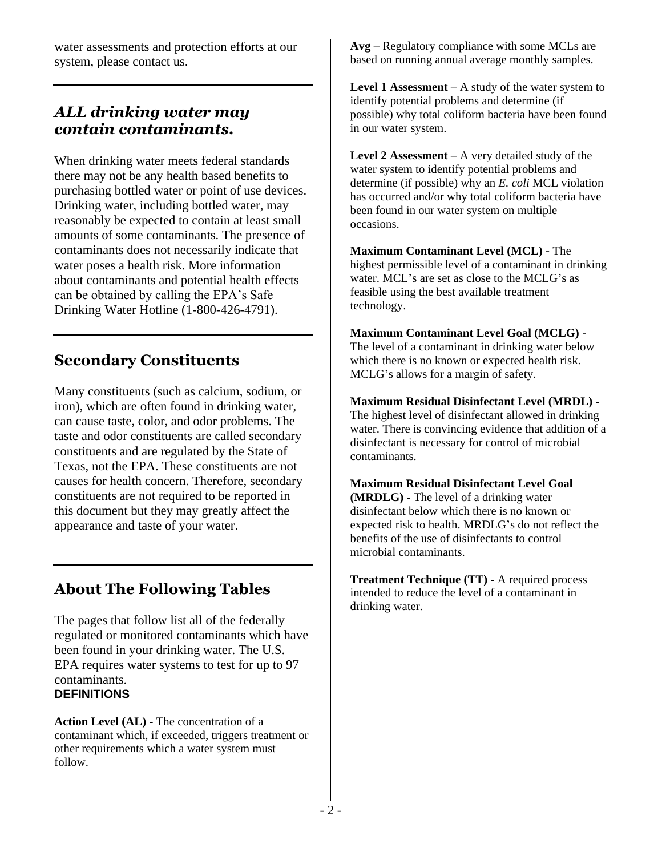water assessments and protection efforts at our system, please contact us.

# *ALL drinking water may contain contaminants.*

When drinking water meets federal standards there may not be any health based benefits to purchasing bottled water or point of use devices. Drinking water, including bottled water, may reasonably be expected to contain at least small amounts of some contaminants. The presence of contaminants does not necessarily indicate that water poses a health risk. More information about contaminants and potential health effects can be obtained by calling the EPA's Safe Drinking Water Hotline (1-800-426-4791).

# **Secondary Constituents**

Many constituents (such as calcium, sodium, or iron), which are often found in drinking water, can cause taste, color, and odor problems. The taste and odor constituents are called secondary constituents and are regulated by the State of Texas, not the EPA. These constituents are not causes for health concern. Therefore, secondary constituents are not required to be reported in this document but they may greatly affect the appearance and taste of your water.

# **About The Following Tables**

The pages that follow list all of the federally regulated or monitored contaminants which have been found in your drinking water. The U.S. EPA requires water systems to test for up to 97 contaminants. **DEFINITIONS**

**Action Level (AL) -** The concentration of a contaminant which, if exceeded, triggers treatment or other requirements which a water system must follow.

**Avg –** Regulatory compliance with some MCLs are based on running annual average monthly samples.

**Level 1 Assessment** – A study of the water system to identify potential problems and determine (if possible) why total coliform bacteria have been found in our water system.

**Level 2 Assessment** – A very detailed study of the water system to identify potential problems and determine (if possible) why an *E. coli* MCL violation has occurred and/or why total coliform bacteria have been found in our water system on multiple occasions.

**Maximum Contaminant Level (MCL) -** The highest permissible level of a contaminant in drinking water. MCL's are set as close to the MCLG's as feasible using the best available treatment technology.

## **Maximum Contaminant Level Goal (MCLG) -**

The level of a contaminant in drinking water below which there is no known or expected health risk. MCLG's allows for a margin of safety.

## **Maximum Residual Disinfectant Level (MRDL) -**

The highest level of disinfectant allowed in drinking water. There is convincing evidence that addition of a disinfectant is necessary for control of microbial contaminants.

## **Maximum Residual Disinfectant Level Goal**

**(MRDLG) -** The level of a drinking water disinfectant below which there is no known or expected risk to health. MRDLG's do not reflect the benefits of the use of disinfectants to control microbial contaminants.

**Treatment Technique (TT) -** A required process intended to reduce the level of a contaminant in drinking water.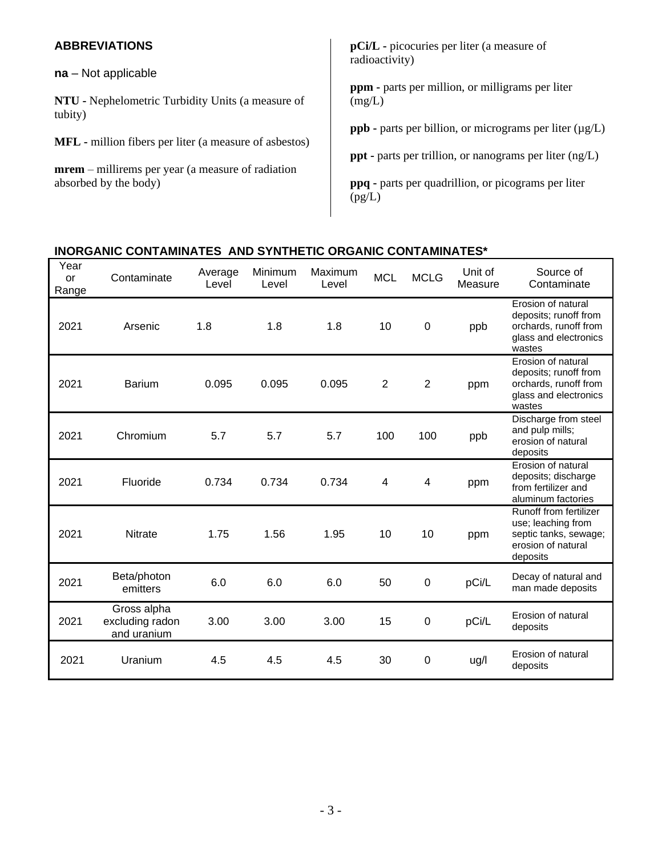| <b>ABBREVIATIONS</b>                                                                                                                               | <b>pCi/L</b> - picocuries per liter (a measure of<br>radioactivity)                                                                                                                                      |
|----------------------------------------------------------------------------------------------------------------------------------------------------|----------------------------------------------------------------------------------------------------------------------------------------------------------------------------------------------------------|
| $na - Not applicable$<br>NTU - Nephelometric Turbidity Units (a measure of<br>tubity)                                                              | <b>ppm</b> - parts per million, or milligrams per liter<br>(mg/L)                                                                                                                                        |
| <b>MFL</b> - million fibers per liter (a measure of asbestos)<br><b>mrem</b> – millirems per year (a measure of radiation<br>absorbed by the body) | <b>ppb</b> - parts per billion, or micrograms per liter $(\mu g/L)$<br><b>ppt</b> - parts per trillion, or nanograms per liter $(ng/L)$<br>ppq - parts per quadrillion, or picograms per liter<br>(pg/L) |

# **INORGANIC CONTAMINATES AND SYNTHETIC ORGANIC CONTAMINATES\***

| Year<br><b>or</b><br>Range | Contaminate                                   | Average<br>Level | Minimum<br>Level | Maximum<br>Level | <b>MCL</b>     | <b>MCLG</b>      | Unit of<br>Measure | Source of<br>Contaminate                                                                                |
|----------------------------|-----------------------------------------------|------------------|------------------|------------------|----------------|------------------|--------------------|---------------------------------------------------------------------------------------------------------|
| 2021                       | Arsenic                                       | 1.8              | 1.8              | 1.8              | 10             | $\boldsymbol{0}$ | ppb                | Erosion of natural<br>deposits; runoff from<br>orchards, runoff from<br>glass and electronics<br>wastes |
| 2021                       | <b>Barium</b>                                 | 0.095            | 0.095            | 0.095            | $\overline{2}$ | 2                | ppm                | Erosion of natural<br>deposits; runoff from<br>orchards, runoff from<br>glass and electronics<br>wastes |
| 2021                       | Chromium                                      | 5.7              | 5.7              | 5.7              | 100            | 100              | ppb                | Discharge from steel<br>and pulp mills;<br>erosion of natural<br>deposits                               |
| 2021                       | Fluoride                                      | 0.734            | 0.734            | 0.734            | 4              | 4                | ppm                | Erosion of natural<br>deposits; discharge<br>from fertilizer and<br>aluminum factories                  |
| 2021                       | <b>Nitrate</b>                                | 1.75             | 1.56             | 1.95             | 10             | 10               | ppm                | Runoff from fertilizer<br>use; leaching from<br>septic tanks, sewage;<br>erosion of natural<br>deposits |
| 2021                       | Beta/photon<br>emitters                       | 6.0              | 6.0              | 6.0              | 50             | $\boldsymbol{0}$ | pCi/L              | Decay of natural and<br>man made deposits                                                               |
| 2021                       | Gross alpha<br>excluding radon<br>and uranium | 3.00             | 3.00             | 3.00             | 15             | $\boldsymbol{0}$ | pCi/L              | Erosion of natural<br>deposits                                                                          |
| 2021                       | Uranium                                       | 4.5              | 4.5              | 4.5              | 30             | 0                | ug/l               | Erosion of natural<br>deposits                                                                          |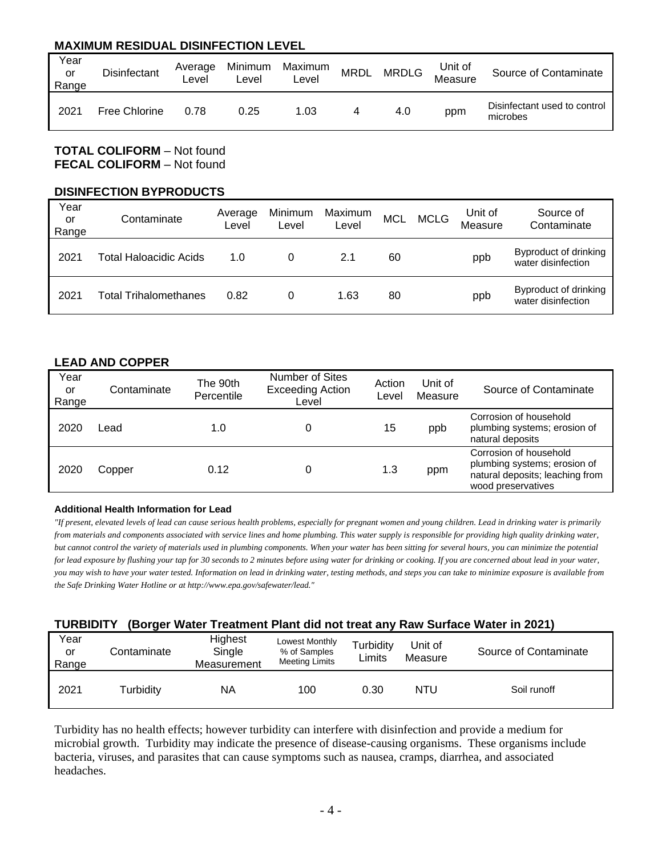# **MAXIMUM RESIDUAL DISINFECTION LEVEL**

| Year<br>or<br>Range | Disinfectant  | Average<br>∟evel | Minimum<br>Level | Maximum<br>-evel | <b>MRDL</b> | <b>MRDLG</b> | Unit of<br>Measure | Source of Contaminate                    |
|---------------------|---------------|------------------|------------------|------------------|-------------|--------------|--------------------|------------------------------------------|
| 2021                | Free Chlorine | 0.78             | 0.25             | 1.03             |             | 4.0          | ppm                | Disinfectant used to control<br>microbes |

**TOTAL COLIFORM** – Not found **FECAL COLIFORM** – Not found

#### **DISINFECTION BYPRODUCTS**

| Year<br>or<br>Range | Contaminate            | Average<br>Level | Minimum<br>Level | Maximum<br>Level | <b>MCL</b> | <b>MCLG</b> | Unit of<br>Measure | Source of<br>Contaminate                    |
|---------------------|------------------------|------------------|------------------|------------------|------------|-------------|--------------------|---------------------------------------------|
| 2021                | Total Haloacidic Acids | 1. $\Omega$      | 0                | 2.1              | 60         |             | ppb                | Byproduct of drinking<br>water disinfection |
| 2021                | Total Trihalomethanes  | 0.82             | 0                | 1.63             | 80         |             | ppb                | Byproduct of drinking<br>water disinfection |

## **LEAD AND COPPER**

| Year<br>or<br>Range | Contaminate | The 90th<br>Percentile | <b>Number of Sites</b><br><b>Exceeding Action</b><br>Level | Action<br>Level | Unit of<br>Measure | Source of Contaminate                                                                                           |
|---------------------|-------------|------------------------|------------------------------------------------------------|-----------------|--------------------|-----------------------------------------------------------------------------------------------------------------|
| 2020                | _ead        | 1.0                    | 0                                                          | 15              | ppb                | Corrosion of household<br>plumbing systems; erosion of<br>natural deposits                                      |
| 2020                | Copper      | 0.12                   | 0                                                          | 1.3             | ppm                | Corrosion of household<br>plumbing systems; erosion of<br>natural deposits; leaching from<br>wood preservatives |

#### **Additional Health Information for Lead**

*"If present, elevated levels of lead can cause serious health problems, especially for pregnant women and young children. Lead in drinking water is primarily from materials and components associated with service lines and home plumbing. This water supply is responsible for providing high quality drinking water, but cannot control the variety of materials used in plumbing components. When your water has been sitting for several hours, you can minimize the potential for lead exposure by flushing your tap for 30 seconds to 2 minutes before using water for drinking or cooking. If you are concerned about lead in your water, you may wish to have your water tested. Information on lead in drinking water, testing methods, and steps you can take to minimize exposure is available from the Safe Drinking Water Hotline or at http://www.epa.gov/safewater/lead."* 

## **TURBIDITY (Borger Water Treatment Plant did not treat any Raw Surface Water in 2021)**

| Year<br>or<br>Range | Contaminate | Highest<br>Single<br>Measurement | Lowest Monthly<br>% of Samples<br><b>Meeting Limits</b> | Turbidity<br>Limits | Unit of<br>Measure | Source of Contaminate |
|---------------------|-------------|----------------------------------|---------------------------------------------------------|---------------------|--------------------|-----------------------|
| 2021                | Turbidity   | NA                               | 100                                                     | 0.30                | <b>NTU</b>         | Soil runoff           |

Turbidity has no health effects; however turbidity can interfere with disinfection and provide a medium for microbial growth. Turbidity may indicate the presence of disease-causing organisms. These organisms include bacteria, viruses, and parasites that can cause symptoms such as nausea, cramps, diarrhea, and associated headaches.